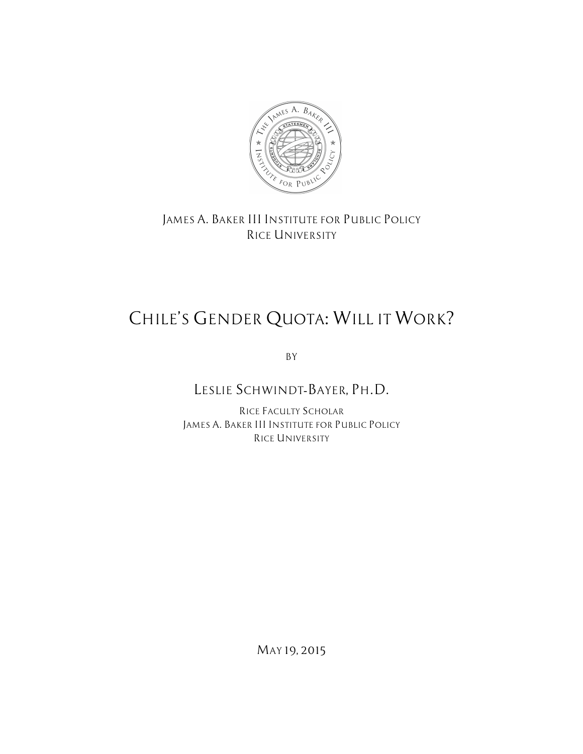

*JAMES A. BAKER III INSTITUTE FOR PUBLIC POLICY RICE UNIVERSITY*

# *CHILE'S GENDER QUOTA: WILL IT WORK?*

*BY*

## *LESLIE SCHWINDT*-*BAYER, PH.D.*

*RICE FACULTY SCHOLAR JAMES A. BAKER III INSTITUTE FOR PUBLIC POLICY RICE UNIVERSITY*

*MAY 19, 2015*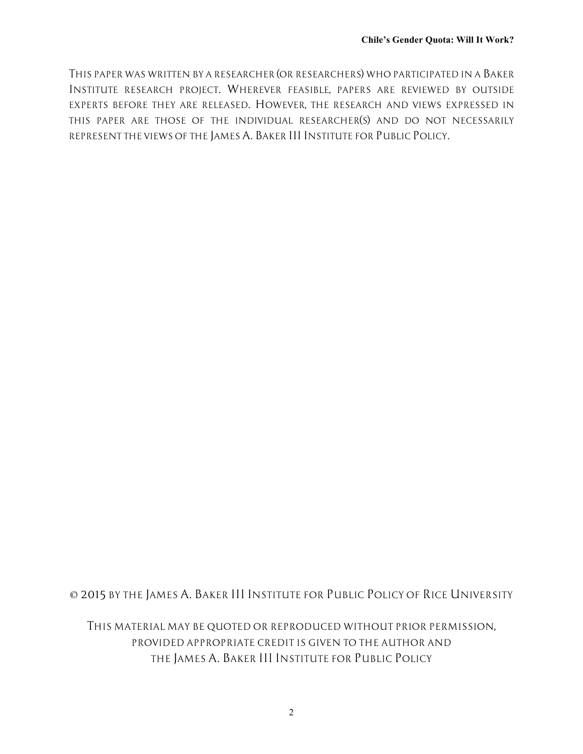*THIS PAPER WAS WRITTEN BY A RESEARCHER (OR RESEARCHERS) WHO PARTICIPATED IN A BAKER INSTITUTE RESEARCH PROJECT. WHEREVER FEASIBLE, PAPERS ARE REVIEWED BY OUTSIDE EXPERTS BEFORE THEY ARE RELEASED. HOWEVER, THE RESEARCH AND VIEWS EXPRESSED IN THIS PAPER ARE THOSE OF THE INDIVIDUAL RESEARCHER(S) AND DO NOT NECESSARILY REPRESENT THE VIEWS OF THE JAMES A.BAKER III INSTITUTE FOR PUBLIC POLICY.*

### *© 2015 BY THE JAMES A. BAKER III INSTITUTE FOR PUBLIC POLICY OF RICE UNIVERSITY*

*THIS MATERIAL MAY BE QUOTED OR REPRODUCED WITHOUT PRIOR PERMISSION, PROVIDED APPROPRIATE CREDIT IS GIVEN TO THE AUTHOR AND THE JAMES A. BAKER III INSTITUTE FOR PUBLIC POLICY*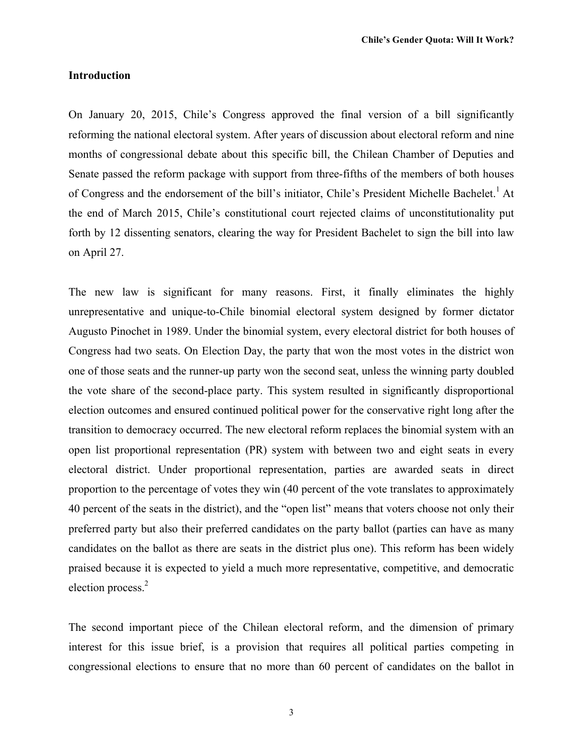#### **Introduction**

On January 20, 2015, Chile's Congress approved the final version of a bill significantly reforming the national electoral system. After years of discussion about electoral reform and nine months of congressional debate about this specific bill, the Chilean Chamber of Deputies and Senate passed the reform package with support from three-fifths of the members of both houses of Congress and the endorsement of the bill's initiator, Chile's President Michelle Bachelet.<sup>1</sup> At the end of March 2015, Chile's constitutional court rejected claims of unconstitutionality put forth by 12 dissenting senators, clearing the way for President Bachelet to sign the bill into law on April 27.

The new law is significant for many reasons. First, it finally eliminates the highly unrepresentative and unique-to-Chile binomial electoral system designed by former dictator Augusto Pinochet in 1989. Under the binomial system, every electoral district for both houses of Congress had two seats. On Election Day, the party that won the most votes in the district won one of those seats and the runner-up party won the second seat, unless the winning party doubled the vote share of the second-place party. This system resulted in significantly disproportional election outcomes and ensured continued political power for the conservative right long after the transition to democracy occurred. The new electoral reform replaces the binomial system with an open list proportional representation (PR) system with between two and eight seats in every electoral district. Under proportional representation, parties are awarded seats in direct proportion to the percentage of votes they win (40 percent of the vote translates to approximately 40 percent of the seats in the district), and the "open list" means that voters choose not only their preferred party but also their preferred candidates on the party ballot (parties can have as many candidates on the ballot as there are seats in the district plus one). This reform has been widely praised because it is expected to yield a much more representative, competitive, and democratic election process. 2

The second important piece of the Chilean electoral reform, and the dimension of primary interest for this issue brief, is a provision that requires all political parties competing in congressional elections to ensure that no more than 60 percent of candidates on the ballot in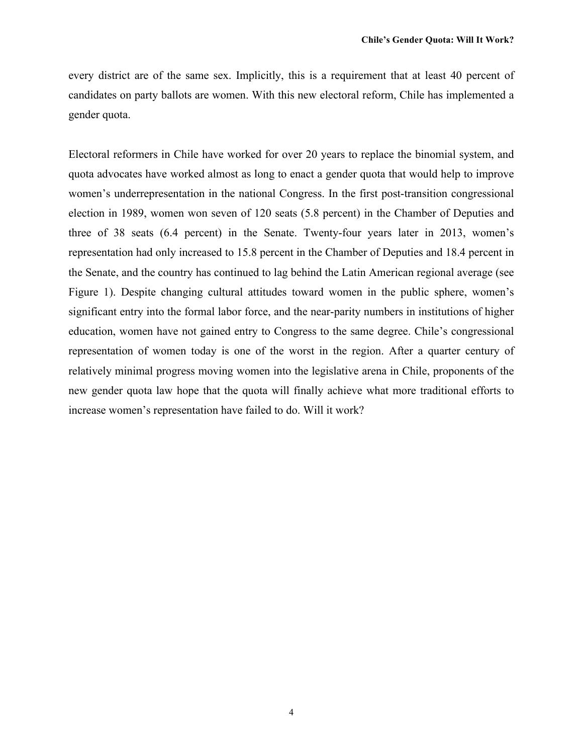every district are of the same sex. Implicitly, this is a requirement that at least 40 percent of candidates on party ballots are women. With this new electoral reform, Chile has implemented a gender quota.

Electoral reformers in Chile have worked for over 20 years to replace the binomial system, and quota advocates have worked almost as long to enact a gender quota that would help to improve women's underrepresentation in the national Congress. In the first post-transition congressional election in 1989, women won seven of 120 seats (5.8 percent) in the Chamber of Deputies and three of 38 seats (6.4 percent) in the Senate. Twenty-four years later in 2013, women's representation had only increased to 15.8 percent in the Chamber of Deputies and 18.4 percent in the Senate, and the country has continued to lag behind the Latin American regional average (see Figure 1). Despite changing cultural attitudes toward women in the public sphere, women's significant entry into the formal labor force, and the near-parity numbers in institutions of higher education, women have not gained entry to Congress to the same degree. Chile's congressional representation of women today is one of the worst in the region. After a quarter century of relatively minimal progress moving women into the legislative arena in Chile, proponents of the new gender quota law hope that the quota will finally achieve what more traditional efforts to increase women's representation have failed to do. Will it work?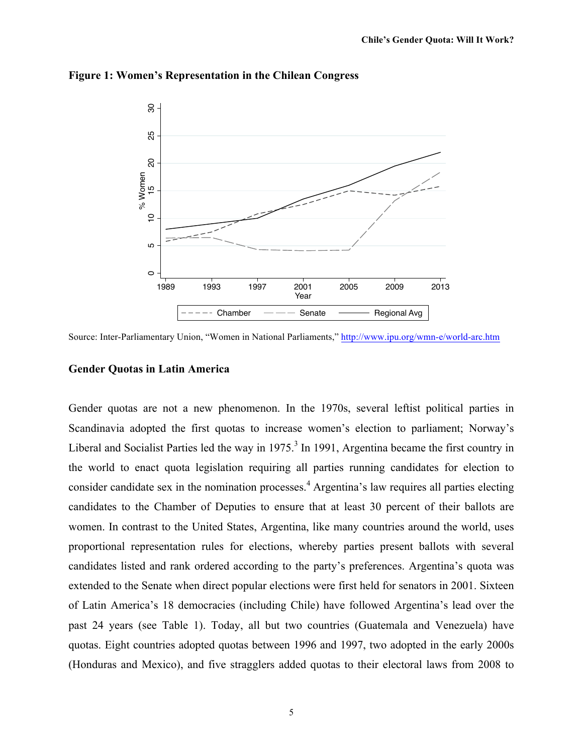

#### **Figure 1: Women's Representation in the Chilean Congress**

Source: Inter-Parliamentary Union, "Women in National Parliaments," http://www.ipu.org/wmn-e/world-arc.htm

#### **Gender Quotas in Latin America**

Gender quotas are not a new phenomenon. In the 1970s, several leftist political parties in Scandinavia adopted the first quotas to increase women's election to parliament; Norway's Liberal and Socialist Parties led the way in  $1975$ .<sup>3</sup> In 1991, Argentina became the first country in the world to enact quota legislation requiring all parties running candidates for election to consider candidate sex in the nomination processes.<sup>4</sup> Argentina's law requires all parties electing candidates to the Chamber of Deputies to ensure that at least 30 percent of their ballots are women. In contrast to the United States, Argentina, like many countries around the world, uses proportional representation rules for elections, whereby parties present ballots with several candidates listed and rank ordered according to the party's preferences. Argentina's quota was extended to the Senate when direct popular elections were first held for senators in 2001. Sixteen of Latin America's 18 democracies (including Chile) have followed Argentina's lead over the past 24 years (see Table 1). Today, all but two countries (Guatemala and Venezuela) have quotas. Eight countries adopted quotas between 1996 and 1997, two adopted in the early 2000s (Honduras and Mexico), and five stragglers added quotas to their electoral laws from 2008 to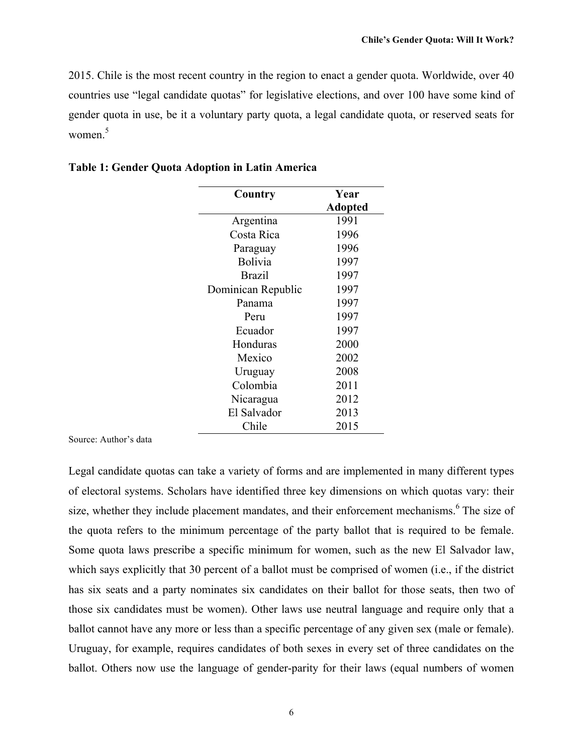2015. Chile is the most recent country in the region to enact a gender quota. Worldwide, over 40 countries use "legal candidate quotas" for legislative elections, and over 100 have some kind of gender quota in use, be it a voluntary party quota, a legal candidate quota, or reserved seats for women.<sup>5</sup>

| Country            | Year           |  |  |
|--------------------|----------------|--|--|
|                    | <b>Adopted</b> |  |  |
| Argentina          | 1991           |  |  |
| Costa Rica         | 1996           |  |  |
| Paraguay           | 1996           |  |  |
| Bolivia            | 1997           |  |  |
| <b>Brazil</b>      | 1997           |  |  |
| Dominican Republic | 1997           |  |  |
| Panama             | 1997           |  |  |
| Peru               | 1997           |  |  |
| Ecuador            | 1997           |  |  |
| Honduras           | 2000           |  |  |
| Mexico             | 2002           |  |  |
| Uruguay            | 2008           |  |  |
| Colombia           | 2011           |  |  |
| Nicaragua          | 2012           |  |  |
| El Salvador        | 2013           |  |  |
| Chile              | 2015           |  |  |

| Table 1: Gender Quota Adoption in Latin America |  |  |  |
|-------------------------------------------------|--|--|--|
|-------------------------------------------------|--|--|--|

Source: Author's data

Legal candidate quotas can take a variety of forms and are implemented in many different types of electoral systems. Scholars have identified three key dimensions on which quotas vary: their size, whether they include placement mandates, and their enforcement mechanisms.<sup>6</sup> The size of the quota refers to the minimum percentage of the party ballot that is required to be female. Some quota laws prescribe a specific minimum for women, such as the new El Salvador law, which says explicitly that 30 percent of a ballot must be comprised of women (i.e., if the district has six seats and a party nominates six candidates on their ballot for those seats, then two of those six candidates must be women). Other laws use neutral language and require only that a ballot cannot have any more or less than a specific percentage of any given sex (male or female). Uruguay, for example, requires candidates of both sexes in every set of three candidates on the ballot. Others now use the language of gender-parity for their laws (equal numbers of women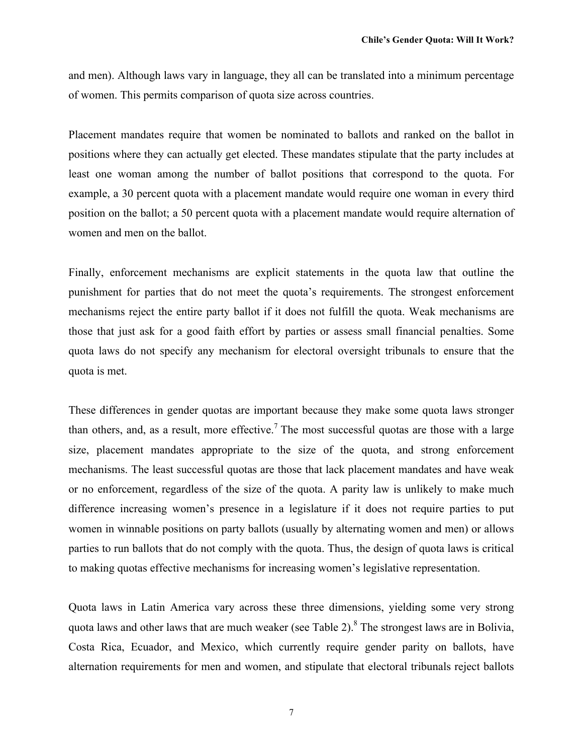and men). Although laws vary in language, they all can be translated into a minimum percentage of women. This permits comparison of quota size across countries.

Placement mandates require that women be nominated to ballots and ranked on the ballot in positions where they can actually get elected. These mandates stipulate that the party includes at least one woman among the number of ballot positions that correspond to the quota. For example, a 30 percent quota with a placement mandate would require one woman in every third position on the ballot; a 50 percent quota with a placement mandate would require alternation of women and men on the ballot.

Finally, enforcement mechanisms are explicit statements in the quota law that outline the punishment for parties that do not meet the quota's requirements. The strongest enforcement mechanisms reject the entire party ballot if it does not fulfill the quota. Weak mechanisms are those that just ask for a good faith effort by parties or assess small financial penalties. Some quota laws do not specify any mechanism for electoral oversight tribunals to ensure that the quota is met.

These differences in gender quotas are important because they make some quota laws stronger than others, and, as a result, more effective.<sup>7</sup> The most successful quotas are those with a large size, placement mandates appropriate to the size of the quota, and strong enforcement mechanisms. The least successful quotas are those that lack placement mandates and have weak or no enforcement, regardless of the size of the quota. A parity law is unlikely to make much difference increasing women's presence in a legislature if it does not require parties to put women in winnable positions on party ballots (usually by alternating women and men) or allows parties to run ballots that do not comply with the quota. Thus, the design of quota laws is critical to making quotas effective mechanisms for increasing women's legislative representation.

Quota laws in Latin America vary across these three dimensions, yielding some very strong quota laws and other laws that are much weaker (see Table 2).<sup>8</sup> The strongest laws are in Bolivia, Costa Rica, Ecuador, and Mexico, which currently require gender parity on ballots, have alternation requirements for men and women, and stipulate that electoral tribunals reject ballots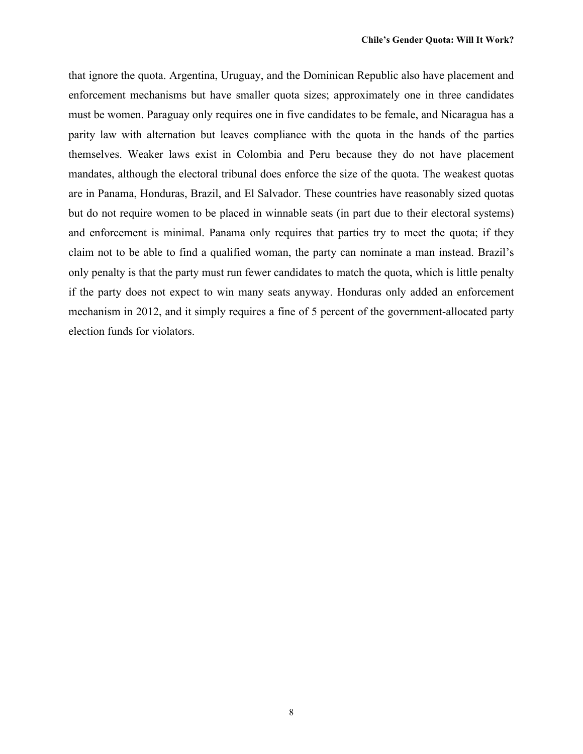that ignore the quota. Argentina, Uruguay, and the Dominican Republic also have placement and enforcement mechanisms but have smaller quota sizes; approximately one in three candidates must be women. Paraguay only requires one in five candidates to be female, and Nicaragua has a parity law with alternation but leaves compliance with the quota in the hands of the parties themselves. Weaker laws exist in Colombia and Peru because they do not have placement mandates, although the electoral tribunal does enforce the size of the quota. The weakest quotas are in Panama, Honduras, Brazil, and El Salvador. These countries have reasonably sized quotas but do not require women to be placed in winnable seats (in part due to their electoral systems) and enforcement is minimal. Panama only requires that parties try to meet the quota; if they claim not to be able to find a qualified woman, the party can nominate a man instead. Brazil's only penalty is that the party must run fewer candidates to match the quota, which is little penalty if the party does not expect to win many seats anyway. Honduras only added an enforcement mechanism in 2012, and it simply requires a fine of 5 percent of the government-allocated party election funds for violators.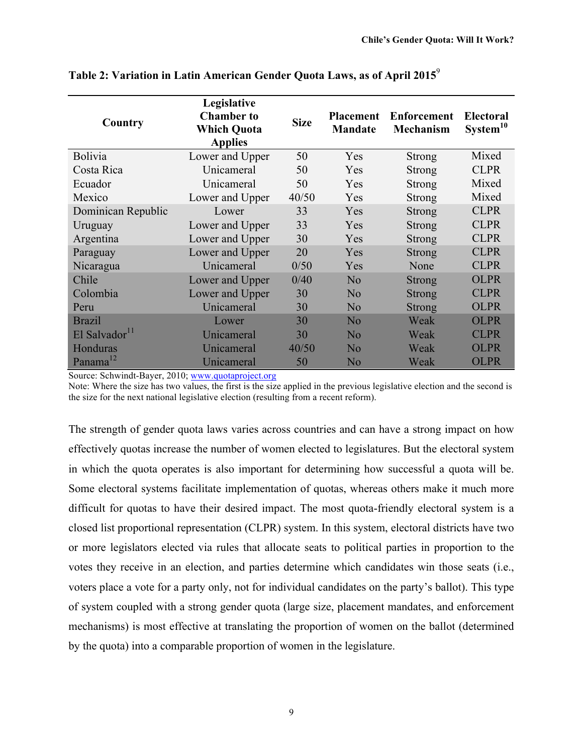| Country                   | Legislative<br><b>Chamber to</b><br><b>Which Quota</b><br><b>Applies</b> | <b>Size</b> | <b>Placement</b><br><b>Mandate</b> | <b>Enforcement</b><br>Mechanism | <b>Electoral</b><br>System <sup>10</sup> |
|---------------------------|--------------------------------------------------------------------------|-------------|------------------------------------|---------------------------------|------------------------------------------|
| <b>Bolivia</b>            | Lower and Upper                                                          | 50          | Yes                                | <b>Strong</b>                   | Mixed                                    |
| Costa Rica                | Unicameral                                                               | 50          | Yes                                | <b>Strong</b>                   | <b>CLPR</b>                              |
| Ecuador                   | Unicameral                                                               | 50          | Yes                                | <b>Strong</b>                   | Mixed                                    |
| Mexico                    | Lower and Upper                                                          | 40/50       | Yes                                | <b>Strong</b>                   | Mixed                                    |
| Dominican Republic        | Lower                                                                    | 33          | Yes                                | <b>Strong</b>                   | <b>CLPR</b>                              |
| Uruguay                   | Lower and Upper                                                          | 33          | Yes                                | <b>Strong</b>                   | <b>CLPR</b>                              |
| Argentina                 | Lower and Upper                                                          | 30          | Yes                                | <b>Strong</b>                   | <b>CLPR</b>                              |
| Paraguay                  | Lower and Upper                                                          | 20          | Yes                                | <b>Strong</b>                   | <b>CLPR</b>                              |
| Nicaragua                 | Unicameral                                                               | 0/50        | Yes                                | None                            | <b>CLPR</b>                              |
| Chile                     | Lower and Upper                                                          | 0/40        | N <sub>o</sub>                     | <b>Strong</b>                   | <b>OLPR</b>                              |
| Colombia                  | Lower and Upper                                                          | 30          | N <sub>o</sub>                     | <b>Strong</b>                   | <b>CLPR</b>                              |
| Peru                      | Unicameral                                                               | 30          | No                                 | <b>Strong</b>                   | <b>OLPR</b>                              |
| <b>Brazil</b>             | Lower                                                                    | 30          | N <sub>o</sub>                     | Weak                            | <b>OLPR</b>                              |
| El Salvador <sup>11</sup> | Unicameral                                                               | 30          | N <sub>0</sub>                     | Weak                            | <b>CLPR</b>                              |
| Honduras                  | Unicameral                                                               | 40/50       | No                                 | Weak                            | <b>OLPR</b>                              |
| Panama <sup>12</sup>      | Unicameral                                                               | 50          | No                                 | Weak                            | <b>OLPR</b>                              |

**Table 2: Variation in Latin American Gender Quota Laws, as of April 2015**<sup>9</sup>

Source: Schwindt-Bayer, 2010; www.quotaproject.org

Note: Where the size has two values, the first is the size applied in the previous legislative election and the second is the size for the next national legislative election (resulting from a recent reform).

The strength of gender quota laws varies across countries and can have a strong impact on how effectively quotas increase the number of women elected to legislatures. But the electoral system in which the quota operates is also important for determining how successful a quota will be. Some electoral systems facilitate implementation of quotas, whereas others make it much more difficult for quotas to have their desired impact. The most quota-friendly electoral system is a closed list proportional representation (CLPR) system. In this system, electoral districts have two or more legislators elected via rules that allocate seats to political parties in proportion to the votes they receive in an election, and parties determine which candidates win those seats (i.e., voters place a vote for a party only, not for individual candidates on the party's ballot). This type of system coupled with a strong gender quota (large size, placement mandates, and enforcement mechanisms) is most effective at translating the proportion of women on the ballot (determined by the quota) into a comparable proportion of women in the legislature.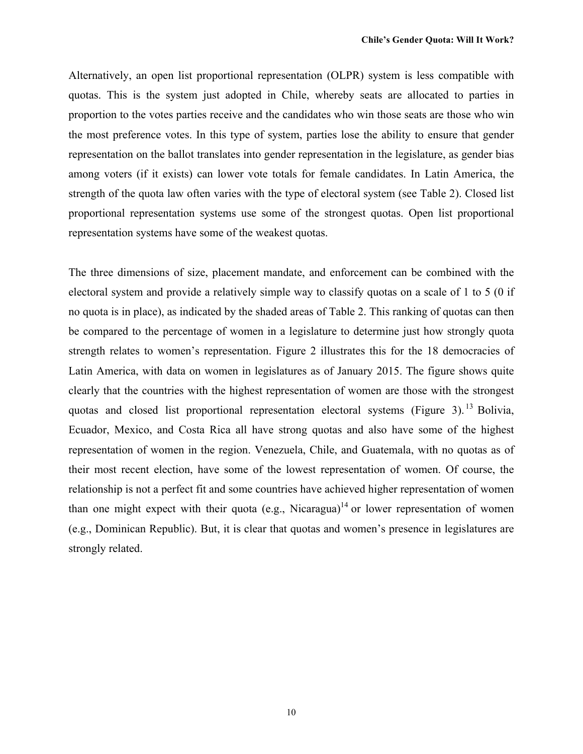Alternatively, an open list proportional representation (OLPR) system is less compatible with quotas. This is the system just adopted in Chile, whereby seats are allocated to parties in proportion to the votes parties receive and the candidates who win those seats are those who win the most preference votes. In this type of system, parties lose the ability to ensure that gender representation on the ballot translates into gender representation in the legislature, as gender bias among voters (if it exists) can lower vote totals for female candidates. In Latin America, the strength of the quota law often varies with the type of electoral system (see Table 2). Closed list proportional representation systems use some of the strongest quotas. Open list proportional representation systems have some of the weakest quotas.

The three dimensions of size, placement mandate, and enforcement can be combined with the electoral system and provide a relatively simple way to classify quotas on a scale of 1 to 5 (0 if no quota is in place), as indicated by the shaded areas of Table 2. This ranking of quotas can then be compared to the percentage of women in a legislature to determine just how strongly quota strength relates to women's representation. Figure 2 illustrates this for the 18 democracies of Latin America, with data on women in legislatures as of January 2015. The figure shows quite clearly that the countries with the highest representation of women are those with the strongest quotas and closed list proportional representation electoral systems (Figure 3). <sup>13</sup> Bolivia, Ecuador, Mexico, and Costa Rica all have strong quotas and also have some of the highest representation of women in the region. Venezuela, Chile, and Guatemala, with no quotas as of their most recent election, have some of the lowest representation of women. Of course, the relationship is not a perfect fit and some countries have achieved higher representation of women than one might expect with their quota (e.g., Nicaragua)<sup>14</sup> or lower representation of women (e.g., Dominican Republic). But, it is clear that quotas and women's presence in legislatures are strongly related.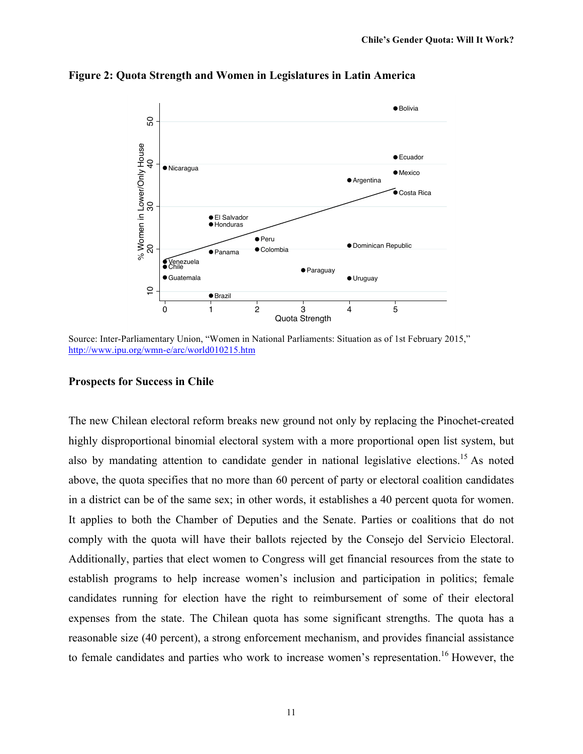

**Figure 2: Quota Strength and Women in Legislatures in Latin America**

Source: Inter-Parliamentary Union, "Women in National Parliaments: Situation as of 1st February 2015," http://www.ipu.org/wmn-e/arc/world010215.htm

#### **Prospects for Success in Chile**

The new Chilean electoral reform breaks new ground not only by replacing the Pinochet-created highly disproportional binomial electoral system with a more proportional open list system, but also by mandating attention to candidate gender in national legislative elections.<sup>15</sup> As noted above, the quota specifies that no more than 60 percent of party or electoral coalition candidates in a district can be of the same sex; in other words, it establishes a 40 percent quota for women. It applies to both the Chamber of Deputies and the Senate. Parties or coalitions that do not comply with the quota will have their ballots rejected by the Consejo del Servicio Electoral. Additionally, parties that elect women to Congress will get financial resources from the state to establish programs to help increase women's inclusion and participation in politics; female candidates running for election have the right to reimbursement of some of their electoral expenses from the state. The Chilean quota has some significant strengths. The quota has a reasonable size (40 percent), a strong enforcement mechanism, and provides financial assistance to female candidates and parties who work to increase women's representation.<sup>16</sup> However, the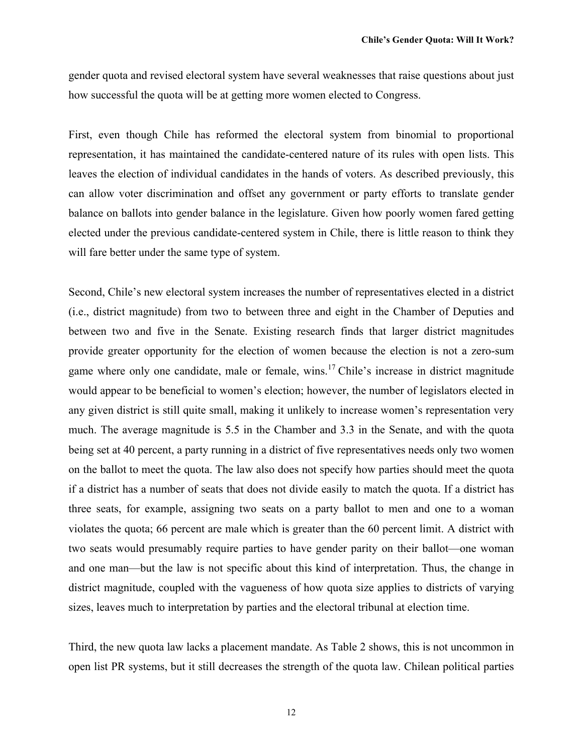gender quota and revised electoral system have several weaknesses that raise questions about just how successful the quota will be at getting more women elected to Congress.

First, even though Chile has reformed the electoral system from binomial to proportional representation, it has maintained the candidate-centered nature of its rules with open lists. This leaves the election of individual candidates in the hands of voters. As described previously, this can allow voter discrimination and offset any government or party efforts to translate gender balance on ballots into gender balance in the legislature. Given how poorly women fared getting elected under the previous candidate-centered system in Chile, there is little reason to think they will fare better under the same type of system.

Second, Chile's new electoral system increases the number of representatives elected in a district (i.e., district magnitude) from two to between three and eight in the Chamber of Deputies and between two and five in the Senate. Existing research finds that larger district magnitudes provide greater opportunity for the election of women because the election is not a zero-sum game where only one candidate, male or female, wins.<sup>17</sup> Chile's increase in district magnitude would appear to be beneficial to women's election; however, the number of legislators elected in any given district is still quite small, making it unlikely to increase women's representation very much. The average magnitude is 5.5 in the Chamber and 3.3 in the Senate, and with the quota being set at 40 percent, a party running in a district of five representatives needs only two women on the ballot to meet the quota. The law also does not specify how parties should meet the quota if a district has a number of seats that does not divide easily to match the quota. If a district has three seats, for example, assigning two seats on a party ballot to men and one to a woman violates the quota; 66 percent are male which is greater than the 60 percent limit. A district with two seats would presumably require parties to have gender parity on their ballot—one woman and one man—but the law is not specific about this kind of interpretation. Thus, the change in district magnitude, coupled with the vagueness of how quota size applies to districts of varying sizes, leaves much to interpretation by parties and the electoral tribunal at election time.

Third, the new quota law lacks a placement mandate. As Table 2 shows, this is not uncommon in open list PR systems, but it still decreases the strength of the quota law. Chilean political parties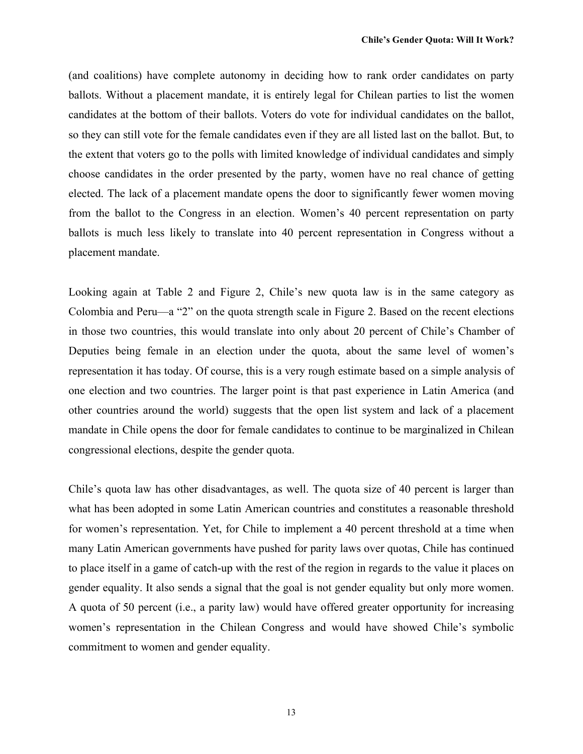(and coalitions) have complete autonomy in deciding how to rank order candidates on party ballots. Without a placement mandate, it is entirely legal for Chilean parties to list the women candidates at the bottom of their ballots. Voters do vote for individual candidates on the ballot, so they can still vote for the female candidates even if they are all listed last on the ballot. But, to the extent that voters go to the polls with limited knowledge of individual candidates and simply choose candidates in the order presented by the party, women have no real chance of getting elected. The lack of a placement mandate opens the door to significantly fewer women moving from the ballot to the Congress in an election. Women's 40 percent representation on party ballots is much less likely to translate into 40 percent representation in Congress without a placement mandate.

Looking again at Table 2 and Figure 2, Chile's new quota law is in the same category as Colombia and Peru—a "2" on the quota strength scale in Figure 2. Based on the recent elections in those two countries, this would translate into only about 20 percent of Chile's Chamber of Deputies being female in an election under the quota, about the same level of women's representation it has today. Of course, this is a very rough estimate based on a simple analysis of one election and two countries. The larger point is that past experience in Latin America (and other countries around the world) suggests that the open list system and lack of a placement mandate in Chile opens the door for female candidates to continue to be marginalized in Chilean congressional elections, despite the gender quota.

Chile's quota law has other disadvantages, as well. The quota size of 40 percent is larger than what has been adopted in some Latin American countries and constitutes a reasonable threshold for women's representation. Yet, for Chile to implement a 40 percent threshold at a time when many Latin American governments have pushed for parity laws over quotas, Chile has continued to place itself in a game of catch-up with the rest of the region in regards to the value it places on gender equality. It also sends a signal that the goal is not gender equality but only more women. A quota of 50 percent (i.e., a parity law) would have offered greater opportunity for increasing women's representation in the Chilean Congress and would have showed Chile's symbolic commitment to women and gender equality.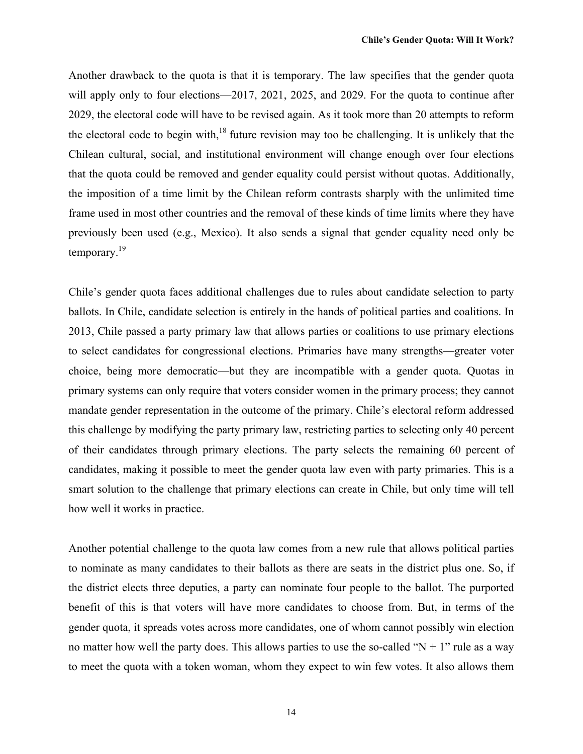Another drawback to the quota is that it is temporary. The law specifies that the gender quota will apply only to four elections—2017, 2021, 2025, and 2029. For the quota to continue after 2029, the electoral code will have to be revised again. As it took more than 20 attempts to reform the electoral code to begin with,  $18$  future revision may too be challenging. It is unlikely that the Chilean cultural, social, and institutional environment will change enough over four elections that the quota could be removed and gender equality could persist without quotas. Additionally, the imposition of a time limit by the Chilean reform contrasts sharply with the unlimited time frame used in most other countries and the removal of these kinds of time limits where they have previously been used (e.g., Mexico). It also sends a signal that gender equality need only be temporary.<sup>19</sup>

Chile's gender quota faces additional challenges due to rules about candidate selection to party ballots. In Chile, candidate selection is entirely in the hands of political parties and coalitions. In 2013, Chile passed a party primary law that allows parties or coalitions to use primary elections to select candidates for congressional elections. Primaries have many strengths—greater voter choice, being more democratic—but they are incompatible with a gender quota. Quotas in primary systems can only require that voters consider women in the primary process; they cannot mandate gender representation in the outcome of the primary. Chile's electoral reform addressed this challenge by modifying the party primary law, restricting parties to selecting only 40 percent of their candidates through primary elections. The party selects the remaining 60 percent of candidates, making it possible to meet the gender quota law even with party primaries. This is a smart solution to the challenge that primary elections can create in Chile, but only time will tell how well it works in practice.

Another potential challenge to the quota law comes from a new rule that allows political parties to nominate as many candidates to their ballots as there are seats in the district plus one. So, if the district elects three deputies, a party can nominate four people to the ballot. The purported benefit of this is that voters will have more candidates to choose from. But, in terms of the gender quota, it spreads votes across more candidates, one of whom cannot possibly win election no matter how well the party does. This allows parties to use the so-called " $N + 1$ " rule as a way to meet the quota with a token woman, whom they expect to win few votes. It also allows them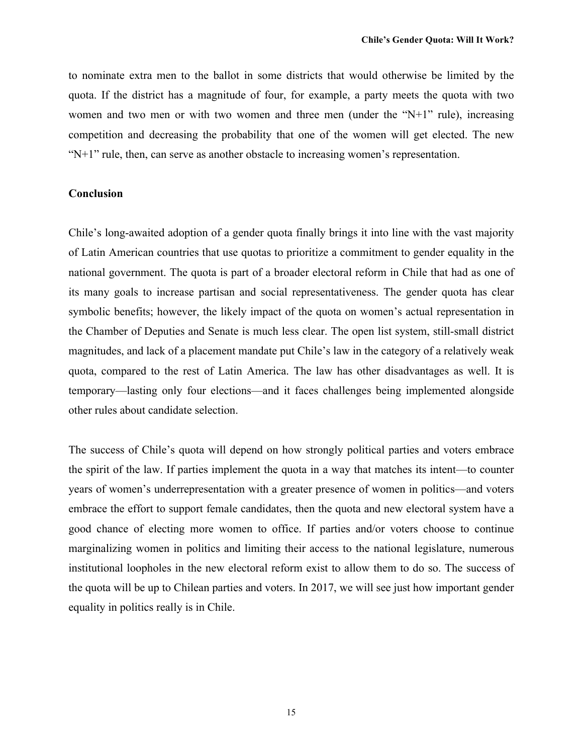to nominate extra men to the ballot in some districts that would otherwise be limited by the quota. If the district has a magnitude of four, for example, a party meets the quota with two women and two men or with two women and three men (under the "N+1" rule), increasing competition and decreasing the probability that one of the women will get elected. The new  $N+1$ " rule, then, can serve as another obstacle to increasing women's representation.

#### **Conclusion**

Chile's long-awaited adoption of a gender quota finally brings it into line with the vast majority of Latin American countries that use quotas to prioritize a commitment to gender equality in the national government. The quota is part of a broader electoral reform in Chile that had as one of its many goals to increase partisan and social representativeness. The gender quota has clear symbolic benefits; however, the likely impact of the quota on women's actual representation in the Chamber of Deputies and Senate is much less clear. The open list system, still-small district magnitudes, and lack of a placement mandate put Chile's law in the category of a relatively weak quota, compared to the rest of Latin America. The law has other disadvantages as well. It is temporary—lasting only four elections—and it faces challenges being implemented alongside other rules about candidate selection.

The success of Chile's quota will depend on how strongly political parties and voters embrace the spirit of the law. If parties implement the quota in a way that matches its intent—to counter years of women's underrepresentation with a greater presence of women in politics—and voters embrace the effort to support female candidates, then the quota and new electoral system have a good chance of electing more women to office. If parties and/or voters choose to continue marginalizing women in politics and limiting their access to the national legislature, numerous institutional loopholes in the new electoral reform exist to allow them to do so. The success of the quota will be up to Chilean parties and voters. In 2017, we will see just how important gender equality in politics really is in Chile.